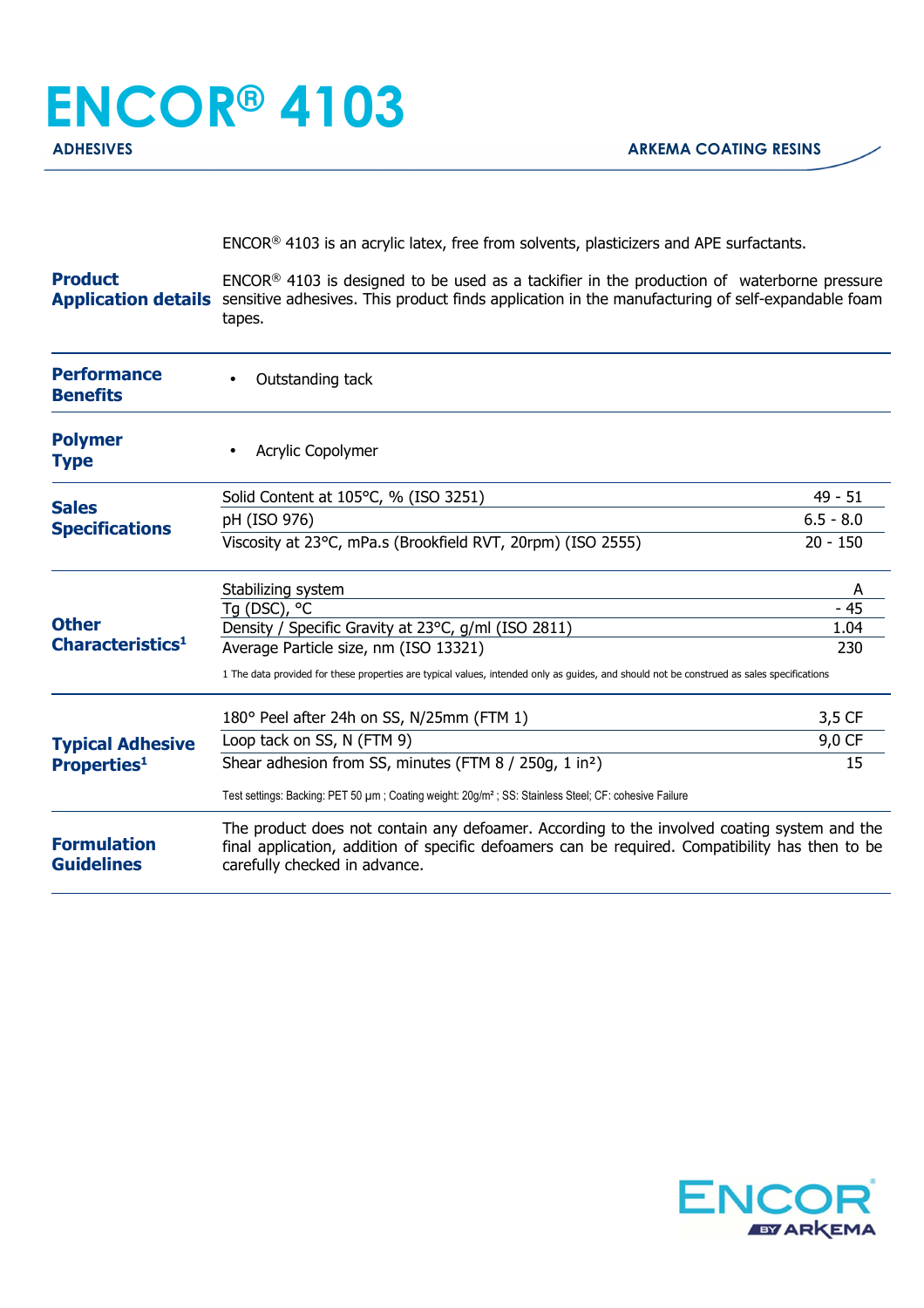## **ENCOR® 4103 ADHESIVES** AND ARKEMA COATING RESINS

ENCOR® 4103 is an acrylic latex, free from solvents, plasticizers and APE surfactants.

**Product** Application details sensitive adhesives. This product finds application in the manufacturing of self-expandable foam ENCOR® 4103 is designed to be used as a tackifier in the production of waterborne pressure tapes.

| <b>Performance</b><br><b>Benefits</b>         | Outstanding tack                                                                                                                                                                                                                |             |
|-----------------------------------------------|---------------------------------------------------------------------------------------------------------------------------------------------------------------------------------------------------------------------------------|-------------|
| <b>Polymer</b><br><b>Type</b>                 | Acrylic Copolymer                                                                                                                                                                                                               |             |
| <b>Sales</b><br><b>Specifications</b>         | Solid Content at 105°C, % (ISO 3251)                                                                                                                                                                                            | $49 - 51$   |
|                                               | pH (ISO 976)                                                                                                                                                                                                                    | $6.5 - 8.0$ |
|                                               | Viscosity at 23°C, mPa.s (Brookfield RVT, 20rpm) (ISO 2555)                                                                                                                                                                     | $20 - 150$  |
| <b>Other</b><br>Characteristics <sup>1</sup>  | Stabilizing system                                                                                                                                                                                                              | A           |
|                                               | Tg (DSC), °C                                                                                                                                                                                                                    | - 45        |
|                                               | Density / Specific Gravity at 23°C, g/ml (ISO 2811)                                                                                                                                                                             | 1.04        |
|                                               | Average Particle size, nm (ISO 13321)                                                                                                                                                                                           | 230         |
|                                               | 1 The data provided for these properties are typical values, intended only as guides, and should not be construed as sales specifications                                                                                       |             |
| <b>Typical Adhesive</b><br><b>Properties1</b> | 180° Peel after 24h on SS, N/25mm (FTM 1)                                                                                                                                                                                       | 3,5 CF      |
|                                               | Loop tack on SS, N (FTM 9)                                                                                                                                                                                                      | 9,0 CF      |
|                                               | Shear adhesion from SS, minutes (FTM 8 / 250g, 1 in <sup>2</sup> )                                                                                                                                                              | 15          |
|                                               | Test settings: Backing: PET 50 µm; Coating weight: 20g/m <sup>2</sup> ; SS: Stainless Steel; CF: cohesive Failure                                                                                                               |             |
| <b>Formulation</b><br><b>Guidelines</b>       | The product does not contain any defoamer. According to the involved coating system and the<br>final application, addition of specific defoamers can be required. Compatibility has then to be<br>carefully checked in advance. |             |